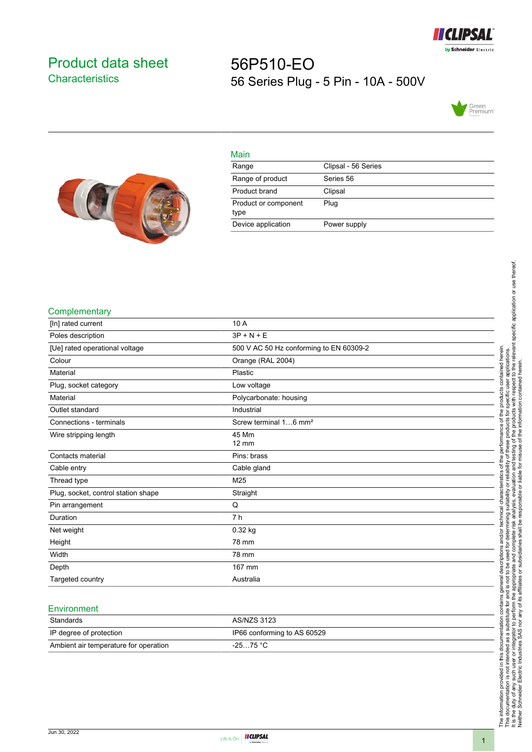

## <span id="page-0-0"></span>Product data sheet **Characteristics**

# 56P510-EO 56 Series Plug - 5 Pin - 10A - 500V





| Main                         |                     |
|------------------------------|---------------------|
| Range                        | Clipsal - 56 Series |
| Range of product             | Series 56           |
| Product brand                | Clipsal             |
| Product or component<br>type | Plug                |
| Device application           | Power supply        |

#### **Complementary**

| [In] rated current                  | 10 A                                    |
|-------------------------------------|-----------------------------------------|
| Poles description                   | $3P + N + E$                            |
| [Ue] rated operational voltage      | 500 V AC 50 Hz conforming to EN 60309-2 |
| Colour                              | Orange (RAL 2004)                       |
| Material                            | Plastic                                 |
| Plug, socket category               | Low voltage                             |
| Material                            | Polycarbonate: housing                  |
| Outlet standard                     | Industrial                              |
| Connections - terminals             | Screw terminal 16 mm <sup>2</sup>       |
| Wire stripping length               | 45 Mm<br>$12 \text{ mm}$                |
| Contacts material                   | Pins: brass                             |
| Cable entry                         | Cable gland                             |
| Thread type                         | M25                                     |
| Plug, socket, control station shape | Straight                                |
| Pin arrangement                     | Q                                       |
| Duration                            | 7 <sub>h</sub>                          |
| Net weight                          | 0.32 kg                                 |
| Height                              | 78 mm                                   |
| Width                               | 78 mm                                   |
| Depth                               | 167 mm                                  |
| Targeted country                    | Australia                               |

#### **Environment**

| Standards                             | AS/NZS 3123                 |
|---------------------------------------|-----------------------------|
| IP degree of protection               | IP66 conforming to AS 60529 |
| Ambient air temperature for operation | $-2575 °C$                  |